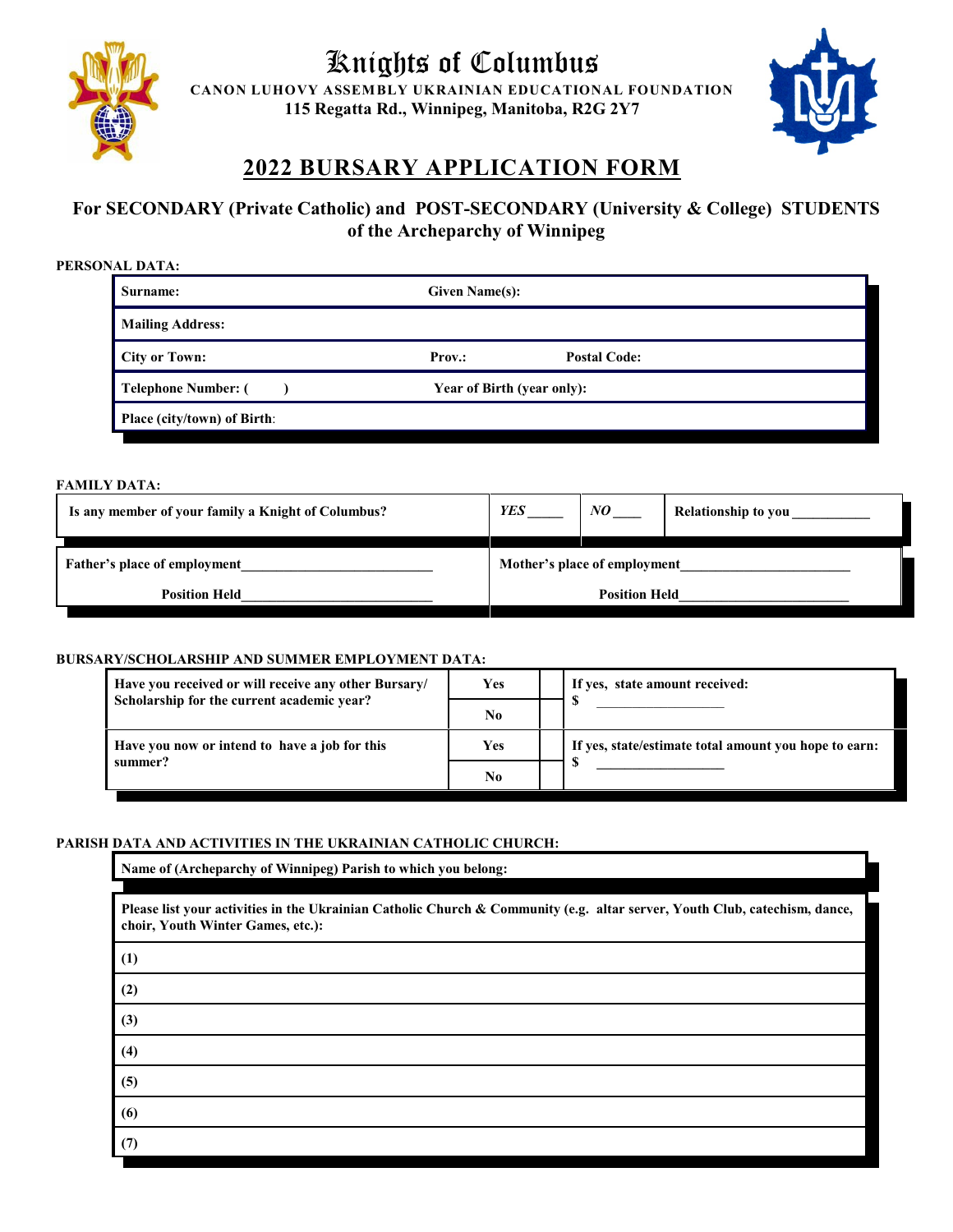

# Knights of Columbus

**CANON LUHOVY ASSEMBLY UKRAINIAN EDUCATIONAL FOUNDATION 115 Regatta Rd., Winnipeg, Manitoba, R2G 2Y7**



## **2022 BURSARY APPLICATION FORM**

### **For SECONDARY (Private Catholic) and POST-SECONDARY (University & College) STUDENTS of the Archeparchy of Winnipeg**

| PERSONAL DATA:              |                            |                     |  |
|-----------------------------|----------------------------|---------------------|--|
| Surname:                    | <b>Given Name(s):</b>      |                     |  |
| <b>Mailing Address:</b>     |                            |                     |  |
| <b>City or Town:</b>        | <b>Prov.:</b>              | <b>Postal Code:</b> |  |
| <b>Telephone Number: (</b>  | Year of Birth (year only): |                     |  |
| Place (city/town) of Birth: |                            |                     |  |

#### **FAMILY DATA:**

| Is any member of your family a Knight of Columbus? | <b>YES</b>                   | NO. | <b>Relationship to you</b> |
|----------------------------------------------------|------------------------------|-----|----------------------------|
| Father's place of employment                       | Mother's place of employment |     |                            |
| <b>Position Held</b>                               | <b>Position Held</b>         |     |                            |

#### **BURSARY/SCHOLARSHIP AND SUMMER EMPLOYMENT DATA:**

| Have you received or will receive any other Bursary/ | Yes        | If yes, state amount received:                        |
|------------------------------------------------------|------------|-------------------------------------------------------|
| Scholarship for the current academic year?           | No         |                                                       |
| Have you now or intend to have a job for this        | <b>Yes</b> | If yes, state/estimate total amount you hope to earn: |
| summer?                                              | No         |                                                       |

#### **PARISH DATA AND ACTIVITIES IN THE UKRAINIAN CATHOLIC CHURCH:**

**Name of (Archeparchy of Winnipeg) Parish to which you belong:**

**Please list your activities in the Ukrainian Catholic Church & Community (e.g. altar server, Youth Club, catechism, dance, choir, Youth Winter Games, etc.):** 

| (1)      |  |  |
|----------|--|--|
| (2)      |  |  |
| (3)      |  |  |
| (4)      |  |  |
| (5)      |  |  |
| (6)      |  |  |
| (7)<br>┑ |  |  |